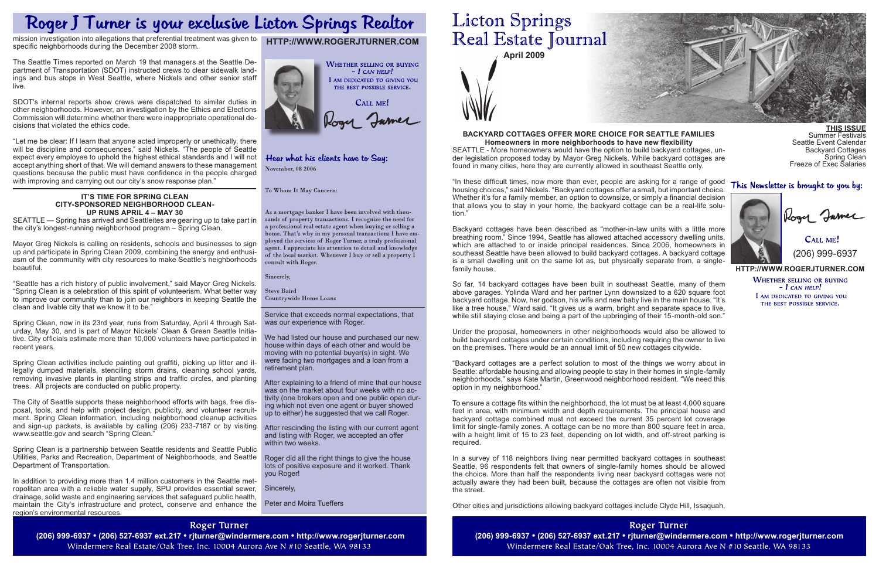**April 2009**

Service that exceeds normal expectations, that was our experience with Roger.

We had listed our house and purchased our new house within days of each other and would be moving with no potential buyer(s) in sight. We were facing two mortgages and a loan from a retirement plan.

After explaining to a friend of mine that our house was on the market about four weeks with no activity (one brokers open and one public open during which not even one agent or buyer showed up to either) he suggested that we call Roger.

 $C$ all me! (206) 999-6937

Summer Festivals Seattle Event Calendar Backyard Cottages Spring Clean

After rescinding the listing with our current agent and listing with Roger, we accepted an offer within two weeks.

Roger did all the right things to give the house lots of positive exposure and it worked. Thank you Roger!

Sincerely,

Peter and Moira Tueffers

# **Licton Springs** Real Estate Journal

**http://www.rogerjturner.com**

**WHETHER SELLING OR BUYING**  $- I$  CAN HELP! I AM DEDICATED TO GIVING YOU THE BEST POSSIBLE SERVICE.

# **http://www.rogerjturner.com**



## Hear what his clients have to Say: November, 08 2006

#### To Whom It May Concern:

As a mortgage banker I have been involved with thousands of property transactions. I recognize the need for a professional real estate agent when buying or selling a home. That's why in my personal transactions I have employed the services of Roger Turner, a truly professional agent. I appreciate his attention to detail and knowledge of the local market. Whenever I buy or sell a property  $\tilde{I}$ consult with Roger.

Sincerely,

**Steve Baird Countrywide Home Loans** 



This Newsletter is brought to you by:



call James

So far, 14 backyard cottages have been built in southeast Seattle, many of them above garages. Yolinda Ward and her partner Lynn downsized to a 620 square foot backyard cottage. Now, her godson, his wife and new baby live in the main house. "It's like a tree house," Ward said. "It gives us a warm, bright and separate space to live, while still staying close and being a part of the upbringing of their 15-month-old son."

Freeze of Exec Salaries

# **Backyard cottages offer more choice for Seattle families**

**Homeowners in more neighborhoods to have new flexibility** SEATTLE - More homeowners would have the option to build backyard cottages, under legislation proposed today by Mayor Greg Nickels. While backyard cottages are found in many cities, here they are currently allowed in southeast Seattle only.

"In these difficult times, now more than ever, people are asking for a range of good housing choices," said Nickels. "Backyard cottages offer a small, but important choice. Whether it's for a family member, an option to downsize, or simply a financial decision that allows you to stay in your home, the backyard cottage can be a real-life solution."

Backyard cottages have been described as "mother-in-law units with a little more breathing room." Since 1994, Seattle has allowed attached accessory dwelling units, which are attached to or inside principal residences. Since 2006, homeowners in southeast Seattle have been allowed to build backyard cottages. A backyard cottage is a small dwelling unit on the same lot as, but physically separate from, a singlefamily house.

"Let me be clear: If I learn that anyone acted improperly or unethically, there will be discipline and consequences," said Nickels. "The people of Seattle expect every employee to uphold the highest ethical standards and I will not accept anything short of that. We will demand answers to these management questions because the public must have confidence in the people charged with improving and carrying out our city's snow response plan."

> Under the proposal, homeowners in other neighborhoods would also be allowed to build backyard cottages under certain conditions, including requiring the owner to live on the premises. There would be an annual limit of 50 new cottages citywide.

> "Backyard cottages are a perfect solution to most of the things we worry about in Seattle: affordable housing,and allowing people to stay in their homes in single-family neighborhoods," says Kate Martin, Greenwood neighborhood resident. "We need this option in my neighborhood."

> To ensure a cottage fits within the neighborhood, the lot must be at least 4,000 square feet in area, with minimum width and depth requirements. The principal house and backyard cottage combined must not exceed the current 35 percent lot coverage limit for single-family zones. A cottage can be no more than 800 square feet in area, with a height limit of 15 to 23 feet, depending on lot width, and off-street parking is required.

In addition to providing more than 1.4 million customers in the Seattle metropolitan area with a reliable water supply, SPU provides essential sewer, drainage, solid waste and engineering services that safeguard public health, maintain the City's infrastructure and protect, conserve and enhance the region's environmental resources.

# **Roger Turner**

(206) 999-6937 • (206) 527-6937 ext.217 • rjturner@windermere.com • http://www.rogerjturner.com (206) 999-6937 • (206) 999-6937 • (206) 527-6937 ext.217 • rjturner@windermere.com • http://www.rogerjturner.com (206) 999-693 Windermere Real Estate/Oak Tree, Inc. 10004 Aurora Ave N #10 Seattle, WA 98133

In a survey of 118 neighbors living near permitted backyard cottages in southeast Seattle, 96 respondents felt that owners of single-family homes should be allowed the choice. More than half the respondents living near backyard cottages were not actually aware they had been built, because the cottages are often not visible from the street.

Other cities and jurisdictions allowing backyard cottages include Clyde Hill, Issaquah,

Roger Turner Windermere Real Estate/Oak Tree, Inc. 10004 Aurora Ave N #10 Seattle, WA 98133

# Roger J Turner is your exclusive Licton Springs Realtor

mission investigation into allegations that preferential treatment was given to specific neighborhoods during the December 2008 storm.

The Seattle Times reported on March 19 that managers at the Seattle Department of Transportation (SDOT) instructed crews to clear sidewalk landings and bus stops in West Seattle, where Nickels and other senior staff live.

SDOT's internal reports show crews were dispatched to similar duties in other neighborhoods. However, an investigation by the Ethics and Elections Commission will determine whether there were inappropriate operational decisions that violated the ethics code.

### **It's Time for Spring Clean City-Sponsored Neighborhood Cleanup Runs April 4 – May 30**

SEATTLE — Spring has arrived and Seattleites are gearing up to take part in the city's longest-running neighborhood program – Spring Clean.

Mayor Greg Nickels is calling on residents, schools and businesses to sign up and participate in Spring Clean 2009, combining the energy and enthusiasm of the community with city resources to make Seattle's neighborhoods beautiful.

"Seattle has a rich history of public involvement," said Mayor Greg Nickels. "Spring Clean is a celebration of this spirit of volunteerism. What better way to improve our community than to join our neighbors in keeping Seattle the clean and livable city that we know it to be."

Spring Clean, now in its 23rd year, runs from Saturday, April 4 through Saturday, May 30, and is part of Mayor Nickels' Clean & Green Seattle Initiative. City officials estimate more than 10,000 volunteers have participated in recent years.

Spring Clean activities include painting out graffiti, picking up litter and illegally dumped materials, stenciling storm drains, cleaning school yards, removing invasive plants in planting strips and traffic circles, and planting trees. All projects are conducted on public property.

The City of Seattle supports these neighborhood efforts with bags, free disposal, tools, and help with project design, publicity, and volunteer recruitment. Spring Clean information, including neighborhood cleanup activities and sign-up packets, is available by calling (206) 233-7187 or by visiting www.seattle.gov and search "Spring Clean."

Spring Clean is a partnership between Seattle residents and Seattle Public Utilities, Parks and Recreation, Department of Neighborhoods, and Seattle Department of Transportation.